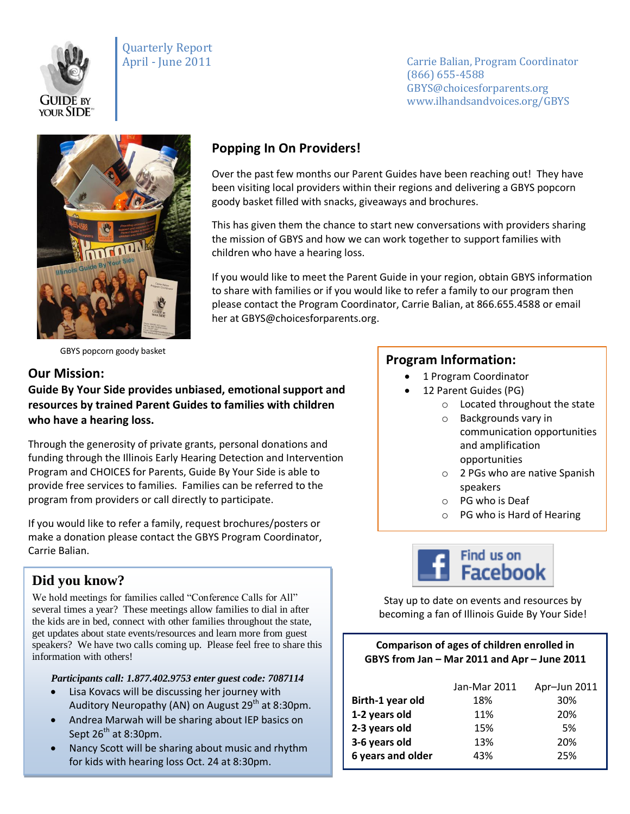

Quarterly Report

April - June 2011 Carrie Balian, Program Coordinator (866) 655-4588 GBYS@choicesforparents.org www.ilhandsandvoices.org/GBYS



GBYS popcorn goody basket

#### **Our Mission:**

**Guide By Your Side provides unbiased, emotional support and resources by trained Parent Guides to families with children who have a hearing loss.** 

Through the generosity of private grants, personal donations and funding through the Illinois Early Hearing Detection and Intervention Program and CHOICES for Parents, Guide By Your Side is able to provide free services to families. Families can be referred to the program from providers or call directly to participate.

If you would like to refer a family, request brochures/posters or make a donation please contact the GBYS Program Coordinator, Carrie Balian.

## **Did you know?**

We hold meetings for families called "Conference Calls for All" several times a year? These meetings allow families to dial in after the kids are in bed, connect with other families throughout the state, get updates about state events/resources and learn more from guest speakers? We have two calls coming up. Please feel free to share this information with others!

#### *Participants call: 1.877.402.9753 enter guest code: 7087114*

- Lisa Kovacs will be discussing her journey with Auditory Neuropathy (AN) on August 29<sup>th</sup> at 8:30pm.
- Andrea Marwah will be sharing about IEP basics on Sept  $26^{th}$  at 8:30pm.
- Nancy Scott will be sharing about music and rhythm for kids with hearing loss Oct. 24 at 8:30pm.

# **Popping In On Providers!**

Over the past few months our Parent Guides have been reaching out! They have been visiting local providers within their regions and delivering a GBYS popcorn goody basket filled with snacks, giveaways and brochures.

This has given them the chance to start new conversations with providers sharing the mission of GBYS and how we can work together to support families with children who have a hearing loss.

If you would like to meet the Parent Guide in your region, obtain GBYS information to share with families or if you would like to refer a family to our program then please contact the Program Coordinator, Carrie Balian, at 866.655.4588 or email her at GBYS@choicesforparents.org.

#### **Program Information:**

- 1 Program Coordinator
- 12 Parent Guides (PG)
	- o Located throughout the state
		- o Backgrounds vary in communication opportunities and amplification opportunities
		- o 2 PGs who are native Spanish speakers
		- o PG who is Deaf
		- o PG who is Hard of Hearing



Stay up to date on events and resources by becoming a fan of Illinois Guide By Your Side!

#### **Comparison of ages of children enrolled in GBYS from Jan – Mar 2011 and Apr – June 2011**

|                   | Jan-Mar 2011 | Apr-Jun 2011 |
|-------------------|--------------|--------------|
| Birth-1 year old  | 18%          | 30%          |
| 1-2 years old     | 11%          | 20%          |
| 2-3 years old     | 15%          | .5%          |
| 3-6 years old     | 13%          | 20%          |
| 6 years and older | 43%          | 25%          |
|                   |              |              |